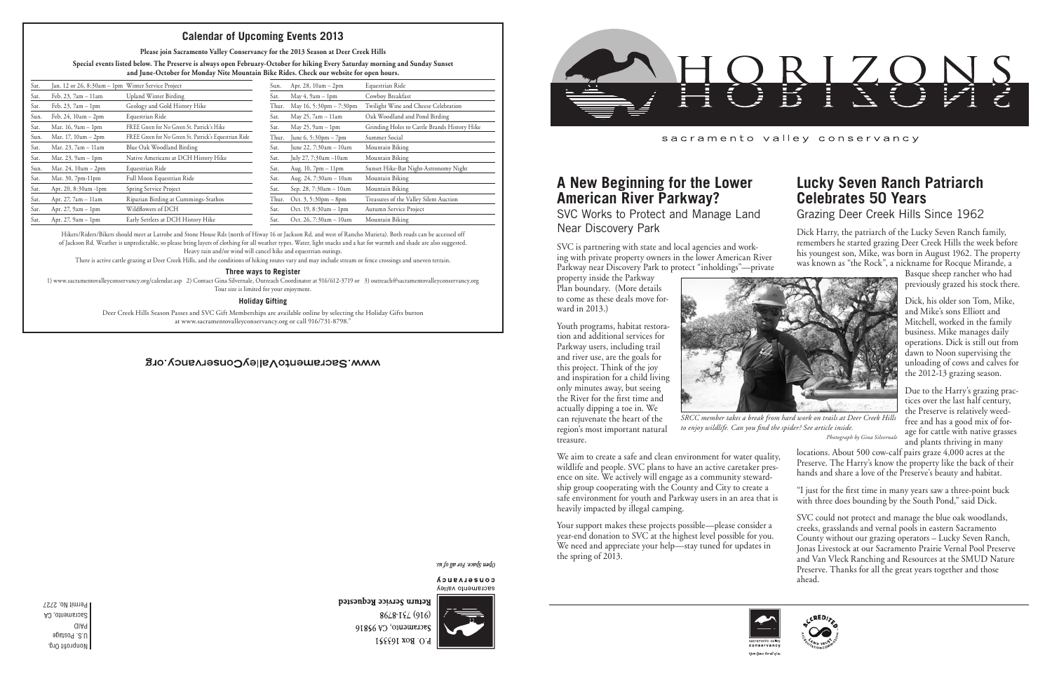



sacramento valley conservancy

## **A New Beginning for the Lower American River Parkway?**

SVC Works to Protect and Manage Land Near Discovery Park

SVC is partnering with state and local agencies and working with private property owners in the lower American River Parkway near Discovery Park to protect "inholdings"—private

property inside the Parkway Plan boundary. (More details to come as these deals move forward in 2013.)

Youth programs, habitat restoration and additional services for Parkway users, including trail and river use, are the goals for this project. Think of the joy and inspiration for a child living only minutes away, but seeing the River for the first time and actually dipping a toe in. We can rejuvenate the heart of the region's most important natural

treasure.

Your support makes these projects possible—please consider a year-end donation to SVC at the highest level possible for you. We need and appreciate your help—stay tuned for updates in the spring of 2013.



Hikers/Riders/Bikers should meet at Latrobe and Stone House Rds (north of Hiway 16 or Jackson Rd. and west of Rancho Murieta). Both roads can be accessed off of Jackson Rd. Weather is unpredictable, so please bring layers of clothing for all weather types. Water, light snacks and a hat for warmth and shade are also suggested. Heavy rain and/or wind will cancel hike and equestrian outings.

There is active cattle grazing at Deer Creek Hills, and the conditions of hiking routes vary and may include stream or fence crossings and uneven terrain.

#### **Three ways to Register**

1) www.sacramentovalleyconservancy.org/calendar.asp 2) Contact Gina Silvernale, Outreach Coordinator at 916/612-3719 or 3) outreach@sacramentovalleyconservancy.org Tour size is limited for your enjoyment.

#### **Holiday Gifting**

Deer Creek Hills Season Passes and SVC Gift Memberships are available online by selecting the Holiday Gifts button at www.sacramentovalleyconservancy.org or call 916/731-8798."

#### WWW.SacramentoValleyConservancy.org

sn fo yp 104 sopds uado

CONSELASUCA sacramento valley



Return Service Requested 8648-184 (916) Sacramento, CA 95816 P.O. Box 163351



*SRCC member takes a break from hard work on trails at Deer Creek Hills to enjoy wildlife. Can you find the spider? See article inside.*

*Photograph by Gina Silvernale*

We aim to create a safe and clean environment for water quality, wildlife and people. SVC plans to have an active caretaker presence on site. We actively will engage as a community stewardship group cooperating with the County and City to create a safe environment for youth and Parkway users in an area that is heavily impacted by illegal camping. locations. About 500 cow-calf pairs graze 4,000 acres at the Preserve. The Harry's know the property like the back of their hands and share a love of the Preserve's beauty and habitat. "I just for the first time in many years saw a three-point buck with three does bounding by the South Pond," said Dick.

### **Calendar of Upcoming Events 2013**

**Please join Sacramento Valley Conservancy for the 2013 Season at Deer Creek Hills**

| Sat. | Jan. 12 or 26, 8:30am - 1pm Winter Service Project |                                                       | Sun.  | Apr. 28, $10am - 2pm$                  | Equestrian Ride                              |
|------|----------------------------------------------------|-------------------------------------------------------|-------|----------------------------------------|----------------------------------------------|
| Sat. | Feb. 23, 7am - 11am                                | Upland Winter Birding                                 | Sat.  | May $4, 9$ am $-1$ pm                  | Cowboy Breakfast                             |
| Sat. | Feb. $23$ , $7am - 1pm$                            | Geology and Gold History Hike                         | Thur. | May 16, 5:30pm - 7:30pm                | Twilight Wine and Cheese Celebration         |
| Sun. | Feb. $24$ , $10am - 2pm$                           | Equestrian Ride                                       | Sat.  | May 25, 7am - 11am                     | Oak Woodland and Pond Birding                |
| Sat. | Mar. 16, 9am - 1pm                                 | FREE Green for No Green St. Patrick's Hike            | Sat.  | May $25$ , $9am - 1pm$                 | Grinding Holes to Cattle Brands History Hike |
| Sun. | Mar. 17, $10am - 2pm$                              | FREE Green for No Green St. Patrick's Equestrian Ride | Thur. | June 6, $5:30 \text{pm} - 7 \text{pm}$ | Summer Social                                |
| Sat. | Mar. 23, 7am - 11am                                | Blue Oak Woodland Birding                             | Sat.  | June 22, 7:30am - 10am                 | Mountain Biking                              |
| Sat. | Mar. $23$ , $9am - 1pm$                            | Native Americans at DCH History Hike                  | Sat.  | July 27, 7:30am -10am                  | Mountain Biking                              |
| Sun. | Mar. 24, $10am - 2pm$                              | Equestrian Ride                                       | Sat.  | Aug. $10, 7$ pm $-11$ pm               | Sunset Hike-Bat Night-Astronomy Night        |
| Sat. | Mar. $30, 7$ pm- $11$ pm                           | Full Moon Equestrian Ride                             | Sat.  | Aug. $24$ , $7:30am - 10am$            | Mountain Biking                              |
| Sat. | Apr. 20, 8:30am -1pm                               | Spring Service Project                                | Sat.  | Sep. 28, 7:30am - 10am                 | Mountain Biking                              |
| Sat. | Apr. 27, 7am - 11am                                | Riparian Birding at Cummings-Stathos                  | Thur. | Oct. $3, 5:30 \text{pm} - 8 \text{pm}$ | Treasures of the Valley Silent Auction       |
| Sat. | Apr. $27$ , $9am - 1pm$                            | Wildflowers of DCH                                    | Sat.  | Oct. 19, $8:30am - 1pm$                | Autumn Service Project                       |
| Sat. | Apr. $27, 9am - 1pm$                               | Early Settlers at DCH History Hike                    | Sat.  | Oct. 26, 7:30am - 10am                 | Mountain Biking                              |
|      |                                                    |                                                       |       |                                        |                                              |

**Special events listed below. The Preserve is always open February-October for hiking Every Saturday morning and Sunday Sunset and June-October for Monday Nite Mountain Bike Rides. Check our website for open hours.**

## **Lucky Seven Ranch Patriarch Celebrates 50 Years**

Grazing Deer Creek Hills Since 1962

Dick Harry, the patriarch of the Lucky Seven Ranch family, remembers he started grazing Deer Creek Hills the week before his youngest son, Mike, was born in August 1962. The property was known as "the Rock", a nickname for Rocque Mirande, a

> Basque sheep rancher who had previously grazed his stock there.

> Dick, his older son Tom, Mike, and Mike's sons Elliott and Mitchell, worked in the family business. Mike manages daily operations. Dick is still out from dawn to Noon supervising the unloading of cows and calves for the 2012-13 grazing season.

> Due to the Harry's grazing practices over the last half century, the Preserve is relatively weedfree and has a good mix of forage for cattle with native grasses and plants thriving in many

SVC could not protect and manage the blue oak woodlands, creeks, grasslands and vernal pools in eastern Sacramento County without our grazing operators – Lucky Seven Ranch, Jonas Livestock at our Sacramento Prairie Vernal Pool Preserve and Van Vleck Ranching and Resources at the SMUD Nature Preserve. Thanks for all the great years together and those ahead.